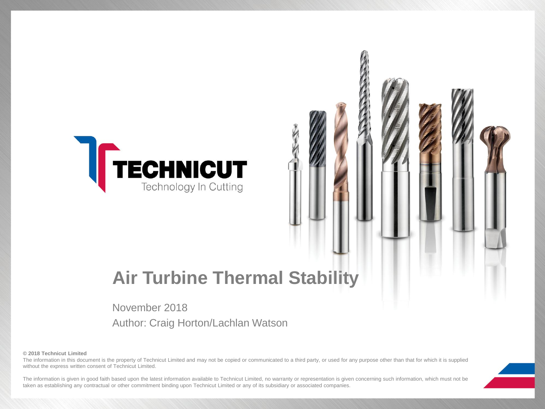

# **Air Turbine Thermal Stability**

### November 2018

Author: Craig Horton/Lachlan Watson

**© 2018 Technicut Limited**

The information in this document is the property of Technicut Limited and may not be copied or communicated to a third party, or used for any purpose other than that for which it is supplied without the express written consent of Technicut Limited.

The information is given in good faith based upon the latest information available to Technicut Limited, no warranty or representation is given concerning such information, which must not be taken as establishing any contractual or other commitment binding upon Technicut Limited or any of its subsidiary or associated companies.

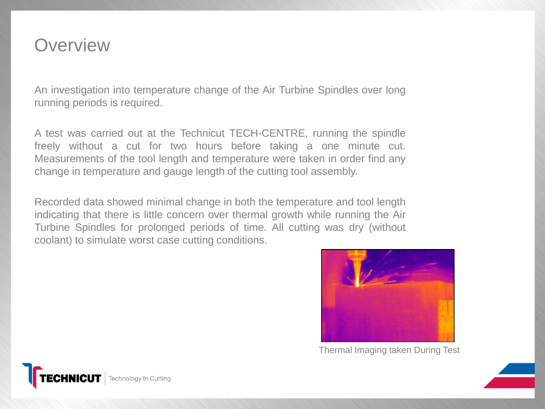# **Overview**

An investigation into temperature change of the Air Turbine Spindles over long running periods is required.

A test was carried out at the Technicut TECH-CENTRE, running the spindle freely without a cut for two hours before taking a one minute cut. Measurements of the tool length and temperature were taken in order find any change in temperature and gauge length of the cutting tool assembly.

Recorded data showed minimal change in both the temperature and tool length indicating that there is little concern over thermal growth while running the Air Turbine Spindles for prolonged periods of time. All cutting was dry (without coolant) to simulate worst case cutting conditions.



Thermal Imaging taken During Test

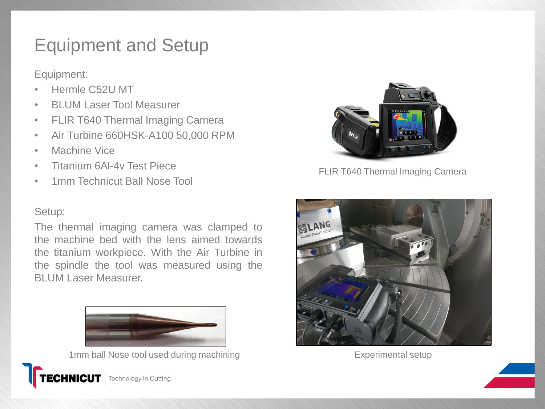# Equipment and Setup

Equipment:

- Hermle C52U MT
- BLUM Laser Tool Measurer
- FLIR T640 Thermal Imaging Camera
- Air Turbine 660HSK-A100 50,000 RPM
- Machine Vice
- Titanium 6Al-4v Test Piece
- 1mm Technicut Ball Nose Tool

### Setup:

The thermal imaging camera was clamped to the machine bed with the lens aimed towards the titanium workpiece. With the Air Turbine in the spindle the tool was measured using the BLUM Laser Measurer.



1mm ball Nose tool used during machining experimental setup Experimental setup



FLIR T640 Thermal Imaging Camera



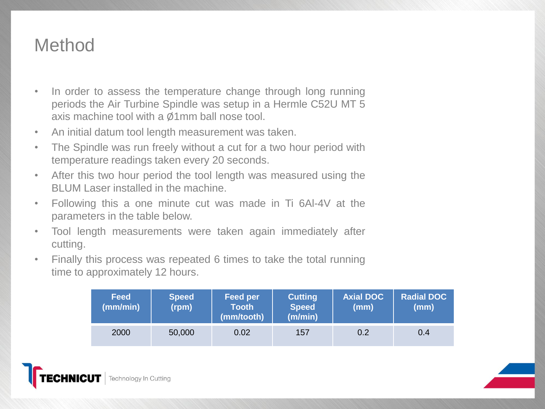# **Method**

- In order to assess the temperature change through long running periods the Air Turbine Spindle was setup in a Hermle C52U MT 5 axis machine tool with a Ø1mm ball nose tool.
- An initial datum tool length measurement was taken.
- The Spindle was run freely without a cut for a two hour period with temperature readings taken every 20 seconds.
- After this two hour period the tool length was measured using the BLUM Laser installed in the machine.
- Following this a one minute cut was made in Ti 6Al-4V at the parameters in the table below.
- Tool length measurements were taken again immediately after cutting.
- Finally this process was repeated 6 times to take the total running time to approximately 12 hours.

| <b>Feed</b><br>(mm/min) | <b>Speed</b><br>(rpm) | Feed per<br><b>Tooth</b><br>(mm/tooth) | <b>Cutting</b><br><b>Speed</b><br>(m/min) | <b>Axial DOC</b><br>(mm) | <b>Radial DOC</b><br>(mm) |
|-------------------------|-----------------------|----------------------------------------|-------------------------------------------|--------------------------|---------------------------|
| 2000                    | 50,000                | 0.02                                   | 157                                       | 0.2                      | 0.4                       |

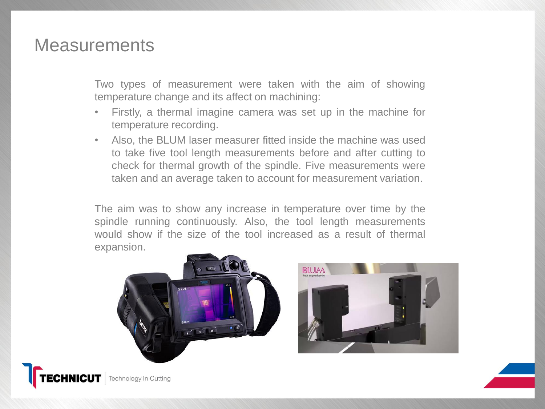### **Measurements**

Two types of measurement were taken with the aim of showing temperature change and its affect on machining:

- Firstly, a thermal imagine camera was set up in the machine for temperature recording.
- Also, the BLUM laser measurer fitted inside the machine was used to take five tool length measurements before and after cutting to check for thermal growth of the spindle. Five measurements were taken and an average taken to account for measurement variation.

The aim was to show any increase in temperature over time by the spindle running continuously. Also, the tool length measurements would show if the size of the tool increased as a result of thermal expansion.



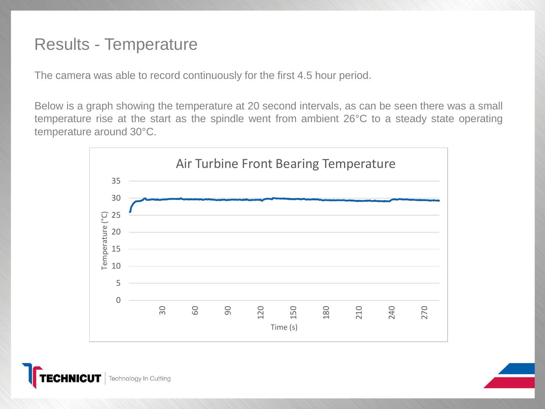## Results - Temperature

The camera was able to record continuously for the first 4.5 hour period.

Below is a graph showing the temperature at 20 second intervals, as can be seen there was a small temperature rise at the start as the spindle went from ambient 26°C to a steady state operating temperature around 30°C.



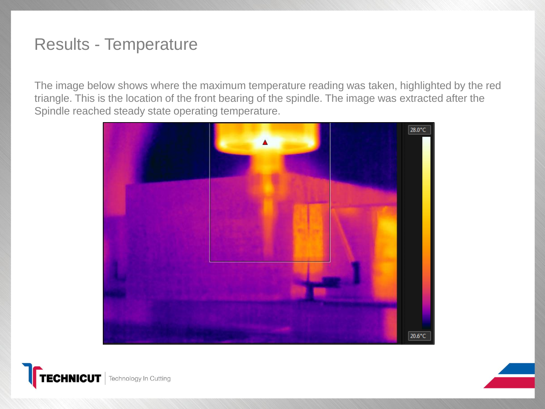# Results - Temperature

The image below shows where the maximum temperature reading was taken, highlighted by the red triangle. This is the location of the front bearing of the spindle. The image was extracted after the Spindle reached steady state operating temperature.



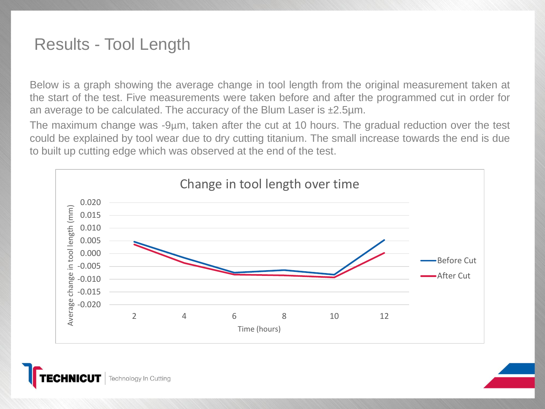## Results - Tool Length

Below is a graph showing the average change in tool length from the original measurement taken at the start of the test. Five measurements were taken before and after the programmed cut in order for an average to be calculated. The accuracy of the Blum Laser is ±2.5µm.

The maximum change was -9µm, taken after the cut at 10 hours. The gradual reduction over the test could be explained by tool wear due to dry cutting titanium. The small increase towards the end is due to built up cutting edge which was observed at the end of the test.



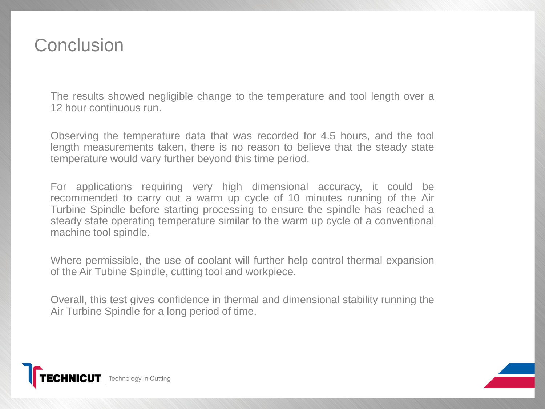# **Conclusion**

The results showed negligible change to the temperature and tool length over a 12 hour continuous run.

Observing the temperature data that was recorded for 4.5 hours, and the tool length measurements taken, there is no reason to believe that the steady state temperature would vary further beyond this time period.

For applications requiring very high dimensional accuracy, it could be recommended to carry out a warm up cycle of 10 minutes running of the Air Turbine Spindle before starting processing to ensure the spindle has reached a steady state operating temperature similar to the warm up cycle of a conventional machine tool spindle.

Where permissible, the use of coolant will further help control thermal expansion of the Air Tubine Spindle, cutting tool and workpiece.

Overall, this test gives confidence in thermal and dimensional stability running the Air Turbine Spindle for a long period of time.